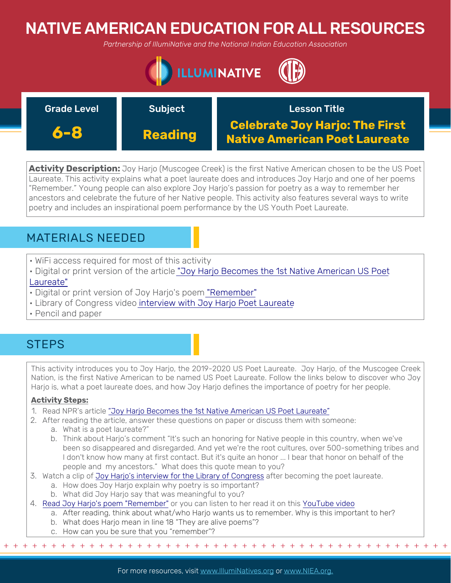# NATIVE AMERICAN EDUCATION FOR ALL RESOURCES

*Partnership of IllumiNative and the National Indian Education Association*



| <b>Grade Level</b> | <b>Subject</b> | <b>Lesson Title</b>                                                           |
|--------------------|----------------|-------------------------------------------------------------------------------|
| 6-8                | <b>Reading</b> | <b>Celebrate Joy Harjo: The First</b><br><b>Native American Poet Laureate</b> |

**Activity Description:** Joy Harjo (Muscogee Creek) is the first Native American chosen to be the US Poet Laureate. This activity explains what a poet laureate does and introduces Joy Harjo and one of her poems "Remember." Young people can also explore Joy Harjo's passion for poetry as a way to remember her ancestors and celebrate the future of her Native people. This activity also features several ways to write poetry and includes an inspirational poem performance by the US Youth Poet Laureate.

### MATERIALS NEEDED

- WiFi access required for most of this activity
- [Digital or print version of the article "Joy Harjo Becomes the 1st Native American US Poet](https://www.npr.org/2019/06/19/733727917/joy-harjo-becomes-the-first-native-american-u-s-poet-laureate) Laureate"
- Digital or print version of Joy Harjo's poem ["Remember"](https://poets.org/lesson-plan/teach-poem-remember-joy-harjo)
- Library of Congress video [interview with Joy Harjo Poet Laureate](https://www.youtube.com/watch?v=Qv6DitwvoQw&t=10s)
- Pencil and paper

### **STEPS**

This activity introduces you to Joy Harjo, the 2019-2020 US Poet Laureate. Joy Harjo, of the Muscogee Creek Nation, is the first Native American to be named US Poet Laureate. Follow the links below to discover who Joy Harjo is, what a poet laureate does, and how Joy Harjo defines the importance of poetry for her people.

#### **Activity Steps:**

- 1. Read NPR's article ["Joy Harjo Becomes the 1st Native American US Poet Laureate"](https://www.npr.org/2019/06/19/733727917/joy-harjo-becomes-the-first-native-american-u-s-poet-laureate)
- 2. After reading the article, answer these questions on paper or discuss them with someone:
	- a. What is a poet laureate?"
	- b. Think about Harjo's comment "It's such an honoring for Native people in this country, when we've been so disappeared and disregarded. And yet we're the root cultures, over 500-something tribes and I don't know how many at first contact. But it's quite an honor ... I bear that honor on behalf of the people and my ancestors." What does this quote mean to you?
- 3. Watch a clip of [Joy Harjo's interview for the Library of Congress](https://www.youtube.com/watch?v=Qv6DitwvoQw&t=10s) after becoming the poet laureate.
	- a. How does Joy Harjo explain why poetry is so important?
	- b. What did Joy Harjo say that was meaningful to you?
- 4. [Read Joy Harjo's poem "Remember"](https://poets.org/lesson-plan/teach-poem-remember-joy-harjo) or you can listen to her read it on this [YouTube video](https://www.youtube.com/watch?v=gH0hp-n9gG8)
	- a. After reading, think about what/who Harjo wants us to remember. Why is this important to her?
	- b. What does Harjo mean in line 18 "They are alive poems"?
	- c. How can you be sure that you "remember"?

+ + + + + + + + + + + + + + + + + + + + + + + + + + + + + + + + + + + + + + + + + + + + + + + +